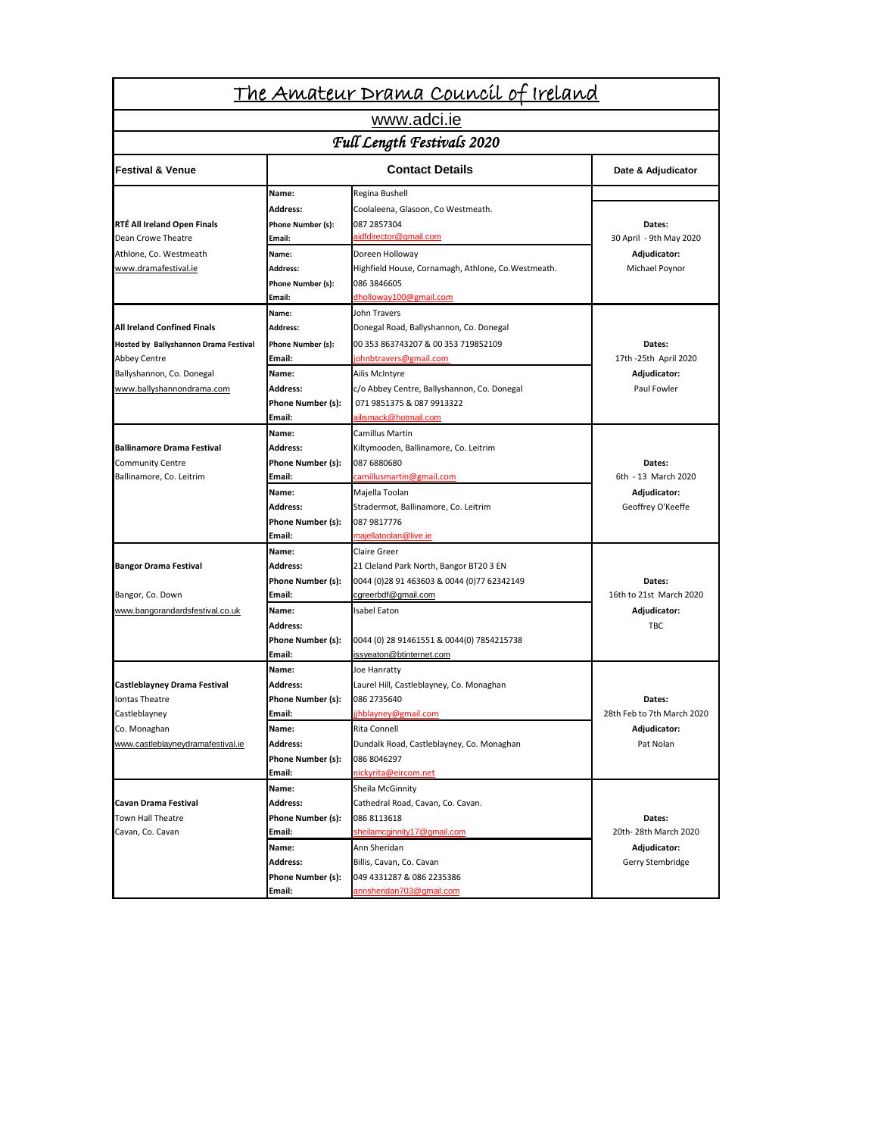|                                                   |                             | <u> The Amateur Drama Council of Ireland</u>            |                                      |  |
|---------------------------------------------------|-----------------------------|---------------------------------------------------------|--------------------------------------|--|
|                                                   |                             | www.adci.ie                                             |                                      |  |
| Full Length Festivals 2020                        |                             |                                                         |                                      |  |
| <b>Festival &amp; Venue</b>                       |                             | <b>Contact Details</b>                                  | Date & Adjudicator                   |  |
|                                                   | Name:                       | Regina Bushell                                          |                                      |  |
|                                                   | <b>Address:</b>             | Coolaleena, Glasoon, Co Westmeath.                      |                                      |  |
| RTÉ All Ireland Open Finals                       | Phone Number (s):           | 087 2857304                                             | Dates:                               |  |
| Dean Crowe Theatre                                | Email:                      | aidfdirector@gmail.com                                  | 30 April - 9th May 2020              |  |
| Athlone, Co. Westmeath                            | Name:                       | Doreen Holloway                                         | Adjudicator:                         |  |
| www.dramafestival.ie                              | Address:                    | Highfield House, Cornamagh, Athlone, Co.Westmeath.      | Michael Poynor                       |  |
|                                                   | Phone Number (s):           | 086 3846605                                             |                                      |  |
|                                                   | Email:                      | dholloway100@gmail.com                                  |                                      |  |
|                                                   | Name:                       | John Travers                                            |                                      |  |
| <b>All Ireland Confined Finals</b>                | <b>Address:</b>             | Donegal Road, Ballyshannon, Co. Donegal                 |                                      |  |
| Hosted by Ballyshannon Drama Festival             | Phone Number (s):           | 00 353 863743207 & 00 353 719852109                     | Dates:                               |  |
| <b>Abbey Centre</b>                               | Email:                      | johnbtravers@gmail.com                                  | 17th -25th April 2020                |  |
| Ballyshannon, Co. Donegal                         | Name:                       | Ailis McIntyre                                          | Adjudicator:                         |  |
| www.ballyshannondrama.com                         | Address:                    | c/o Abbey Centre, Ballyshannon, Co. Donegal             | Paul Fowler                          |  |
|                                                   | Phone Number (s):           | 071 9851375 & 087 9913322                               |                                      |  |
|                                                   | Email:                      | ailismack@hotmail.com                                   |                                      |  |
|                                                   | Name:                       | Camillus Martin                                         |                                      |  |
| <b>Ballinamore Drama Festival</b>                 | <b>Address:</b>             | Kiltymooden, Ballinamore, Co. Leitrim                   |                                      |  |
| <b>Community Centre</b>                           | Phone Number (s):           | 087 6880680                                             | Dates:                               |  |
| Ballinamore, Co. Leitrim                          | Email:                      | camillusmartin@gmail.com                                | 6th - 13 March 2020                  |  |
|                                                   | Name:                       | Majella Toolan                                          | Adjudicator:                         |  |
|                                                   | <b>Address:</b>             | Stradermot, Ballinamore, Co. Leitrim                    | Geoffrey O'Keeffe                    |  |
|                                                   | Phone Number (s):           | 087 9817776                                             |                                      |  |
|                                                   | Email:                      | majellatoolan@live.ie                                   |                                      |  |
|                                                   | Name:                       | Claire Greer                                            |                                      |  |
| <b>Bangor Drama Festival</b>                      | <b>Address:</b>             | 21 Cleland Park North, Bangor BT20 3 EN                 |                                      |  |
|                                                   | Phone Number (s):           | 0044 (0)28 91 463603 & 0044 (0)77 62342149              | Dates:                               |  |
| Bangor, Co. Down                                  | Email:                      | cgreerbdf@gmail.com                                     | 16th to 21st March 2020              |  |
| www.bangorandardsfestival.co.uk                   | Name:                       | Isabel Eaton                                            | Adjudicator:                         |  |
|                                                   | <b>Address:</b>             |                                                         | <b>TBC</b>                           |  |
|                                                   | Phone Number (s):           | 0044 (0) 28 91461551 & 0044(0) 7854215738               |                                      |  |
|                                                   | Email:                      | issyeaton@btinternet.com                                |                                      |  |
|                                                   | Name:                       | Joe Hanratty                                            |                                      |  |
| Castleblayney Drama Festival<br>Iontas Theatre    | <b>Address:</b>             | Laurel Hill, Castleblayney, Co. Monaghan<br>086 2735640 | Dates:<br>28th Feb to 7th March 2020 |  |
| Castleblayney                                     | Phone Number (s):<br>Email: | jhblayney@gmail.com                                     |                                      |  |
|                                                   | Name:                       | Rita Connell                                            |                                      |  |
| Co. Monaghan<br>www.castleblayneydramafestival.ie | <b>Address:</b>             |                                                         | Adjudicator:<br>Pat Nolan            |  |
|                                                   |                             | Dundalk Road, Castleblayney, Co. Monaghan               |                                      |  |
|                                                   | Phone Number (s):<br>Email: | 086 8046297<br>nickyrita@eircom.net                     |                                      |  |
|                                                   | Name:                       | Sheila McGinnity                                        |                                      |  |
| Cavan Drama Festival                              | <b>Address:</b>             | Cathedral Road, Cavan, Co. Cavan.                       |                                      |  |
| Town Hall Theatre                                 | Phone Number (s):           | 086 8113618                                             | Dates:                               |  |
| Cavan, Co. Cavan                                  | Email:                      | sheilamcginnity17@gmail.com                             | 20th-28th March 2020                 |  |
|                                                   | Name:                       | Ann Sheridan                                            | Adjudicator:                         |  |
|                                                   | <b>Address:</b>             | Billis, Cavan, Co. Cavan                                | Gerry Stembridge                     |  |
|                                                   | Phone Number (s):           | 049 4331287 & 086 2235386                               |                                      |  |
|                                                   | Email:                      | annsheridan703@gmail.com                                |                                      |  |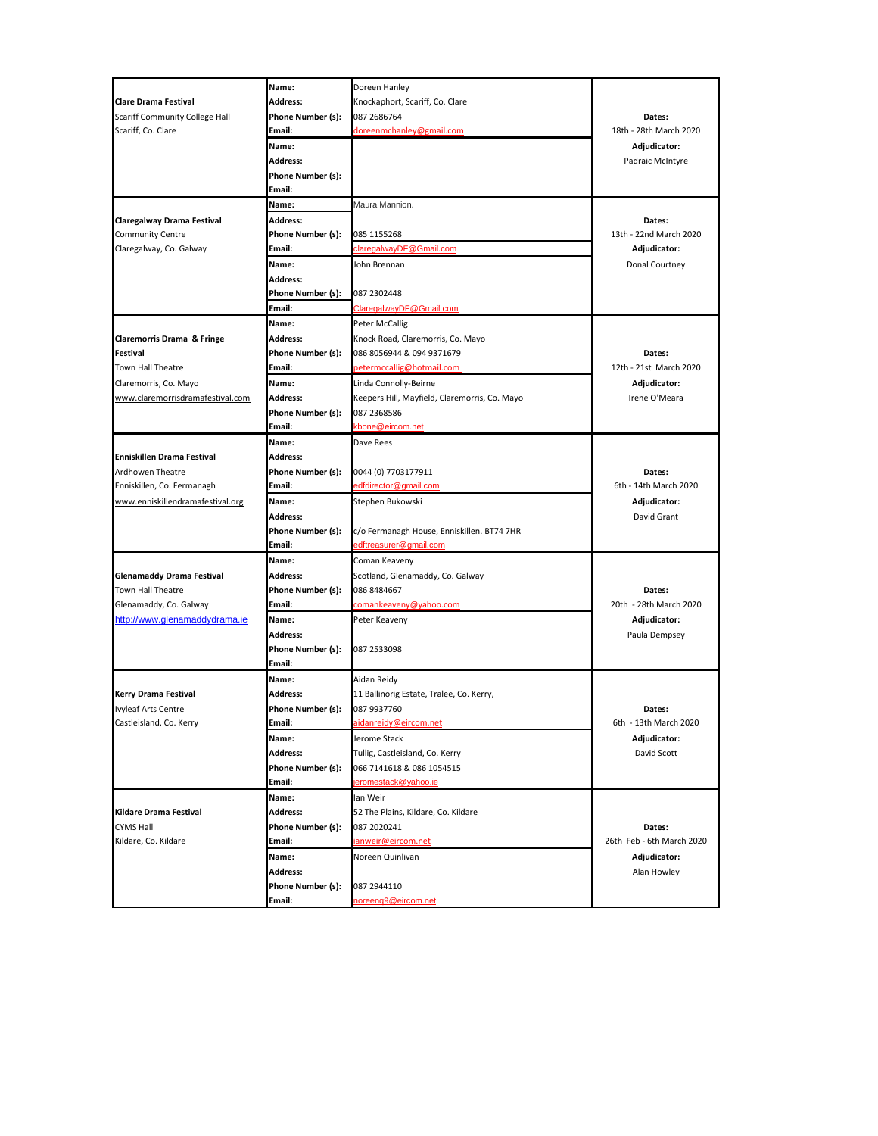|                                                       | Name:                       | Doreen Hanley                                 |                           |
|-------------------------------------------------------|-----------------------------|-----------------------------------------------|---------------------------|
| <b>Clare Drama Festival</b>                           | Address:                    | Knockaphort, Scariff, Co. Clare               |                           |
| <b>Scariff Community College Hall</b>                 | Phone Number (s):           | 087 2686764                                   | Dates:                    |
| Scariff, Co. Clare                                    | Email:                      | doreenmchanley@gmail.com                      | 18th - 28th March 2020    |
|                                                       | Name:                       |                                               | Adjudicator:              |
|                                                       | Address:                    |                                               | Padraic McIntyre          |
|                                                       | Phone Number (s):           |                                               |                           |
|                                                       | Email:                      |                                               |                           |
|                                                       | Name:                       | Maura Mannion.                                |                           |
| Claregalway Drama Festival                            | Address:                    |                                               | Dates:                    |
| <b>Community Centre</b>                               | Phone Number (s):           | 085 1155268                                   | 13th - 22nd March 2020    |
| Claregalway, Co. Galway                               | Email:                      | claregalwayDF@Gmail.com                       | Adjudicator:              |
|                                                       | Name:                       | John Brennan                                  | Donal Courtney            |
|                                                       | Address:                    |                                               |                           |
|                                                       | Phone Number (s):           | 087 2302448                                   |                           |
|                                                       | Email:                      | ClaregalwayDF@Gmail.com                       |                           |
|                                                       | Name:                       | Peter McCallig                                |                           |
| Claremorris Drama & Fringe                            | Address:                    | Knock Road, Claremorris, Co. Mayo             |                           |
| <b>Festival</b>                                       | Phone Number (s):           | 086 8056944 & 094 9371679                     | Dates:                    |
| Town Hall Theatre                                     | Email:                      | petermccallig@hotmail.com                     | 12th - 21st March 2020    |
| Claremorris, Co. Mayo                                 | Name:                       | Linda Connolly-Beirne                         | Adjudicator:              |
| www.claremorrisdramafestival.com                      | <b>Address:</b>             | Keepers Hill, Mayfield, Claremorris, Co. Mayo | Irene O'Meara             |
|                                                       | Phone Number (s):           | 087 2368586                                   |                           |
|                                                       | Email:                      | kbone@eircom.net                              |                           |
|                                                       | Name:                       | Dave Rees                                     |                           |
| Enniskillen Drama Festival                            | Address:                    |                                               |                           |
| Ardhowen Theatre                                      | Phone Number (s):           | 0044 (0) 7703177911                           | Dates:                    |
| Enniskillen, Co. Fermanagh                            | Email:                      | edfdirector@gmail.com                         | 6th - 14th March 2020     |
| www.enniskillendramafestival.org                      | Name:                       | Stephen Bukowski                              | Adjudicator:              |
|                                                       | Address:                    |                                               | David Grant               |
|                                                       | Phone Number (s):           | c/o Fermanagh House, Enniskillen. BT74 7HR    |                           |
|                                                       | Email:                      | edftreasurer@gmail.com                        |                           |
|                                                       | Name:                       | Coman Keaveny                                 |                           |
|                                                       | Address:                    | Scotland, Glenamaddy, Co. Galway              |                           |
| <b>Glenamaddy Drama Festival</b><br>Town Hall Theatre |                             | 086 8484667                                   | Dates:                    |
| Glenamaddy, Co. Galway                                | Phone Number (s):<br>Email: | comankeaveny@yahoo.com                        | 20th - 28th March 2020    |
|                                                       |                             |                                               |                           |
| http://www.glenamaddydrama.ie                         | Name:                       | Peter Keaveny                                 | Adjudicator:              |
|                                                       | Address:                    |                                               | Paula Dempsey             |
|                                                       | Phone Number (s):           | 087 2533098                                   |                           |
|                                                       | Email:                      |                                               |                           |
|                                                       | Name:                       | Aidan Reidy                                   |                           |
| <b>Kerry Drama Festival</b>                           | Address:                    | 11 Ballinorig Estate, Tralee, Co. Kerry,      |                           |
| <b>Ivyleaf Arts Centre</b>                            | Phone Number (s):           | 087 9937760                                   | Dates:                    |
| Castleisland, Co. Kerry                               | Email:                      | <u>aidanreidy@eircom.net</u>                  | 6th - 13th March 2020     |
|                                                       | Name:                       | Jerome Stack                                  | Adjudicator:              |
|                                                       | Address:                    | Tullig, Castleisland, Co. Kerry               | David Scott               |
|                                                       | Phone Number (s):           | 066 7141618 & 086 1054515                     |                           |
|                                                       | Email:                      | ieromestack@yahoo.ie                          |                           |
|                                                       | Name:                       | lan Weir                                      |                           |
| Kildare Drama Festival                                | <b>Address:</b>             | 52 The Plains, Kildare, Co. Kildare           |                           |
| CYMS Hall                                             | Phone Number (s):           | 087 2020241                                   | Dates:                    |
| Kildare, Co. Kildare                                  | Email:                      | ianweir@eircom.net                            | 26th Feb - 6th March 2020 |
|                                                       | Name:                       | Noreen Quinlivan                              | Adjudicator:              |
|                                                       | Address:                    |                                               | Alan Howley               |
|                                                       | Phone Number (s):           | 087 2944110                                   |                           |
|                                                       | Email:                      | noreeng9@eircom.net                           |                           |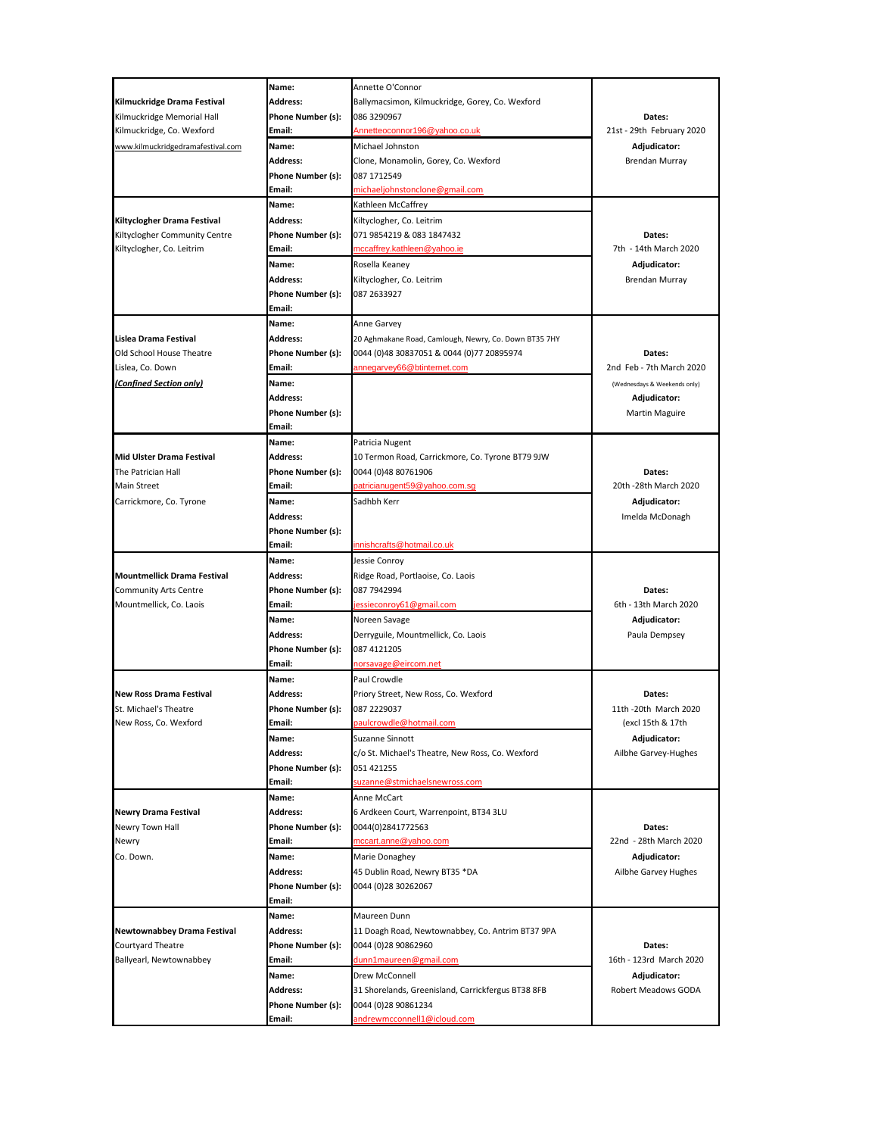|                                    | Name:             | Annette O'Connor                                      |                              |
|------------------------------------|-------------------|-------------------------------------------------------|------------------------------|
| Kilmuckridge Drama Festival        | <b>Address:</b>   | Ballymacsimon, Kilmuckridge, Gorey, Co. Wexford       |                              |
| Kilmuckridge Memorial Hall         | Phone Number (s): | 086 3290967                                           | Dates:                       |
| Kilmuckridge, Co. Wexford          | Email:            | Annetteoconnor196@yahoo.co.uk                         | 21st - 29th February 2020    |
| www.kilmuckridgedramafestival.com  | Name:             | Michael Johnston                                      | Adjudicator:                 |
|                                    | Address:          | Clone, Monamolin, Gorey, Co. Wexford                  | Brendan Murray               |
|                                    | Phone Number (s): | 087 1712549                                           |                              |
|                                    | Email:            | michaeljohnstonclone@gmail.com                        |                              |
|                                    | Name:             | Kathleen McCaffrey                                    |                              |
| Kiltyclogher Drama Festival        | Address:          | Kiltyclogher, Co. Leitrim                             |                              |
| Kiltyclogher Community Centre      | Phone Number (s): | 071 9854219 & 083 1847432                             | Dates:                       |
| Kiltyclogher, Co. Leitrim          | Email:            | mccaffrey.kathleen@yahoo.ie                           | 7th - 14th March 2020        |
|                                    | Name:             | Rosella Keaney                                        | Adjudicator:                 |
|                                    | Address:          | Kiltyclogher, Co. Leitrim                             | Brendan Murray               |
|                                    | Phone Number (s): | 087 2633927                                           |                              |
|                                    | Email:            |                                                       |                              |
|                                    | Name:             | Anne Garvey                                           |                              |
| Lislea Drama Festival              | Address:          | 20 Aghmakane Road, Camlough, Newry, Co. Down BT35 7HY |                              |
| Old School House Theatre           | Phone Number (s): | 0044 (0)48 30837051 & 0044 (0)77 20895974             | Dates:                       |
| Lislea, Co. Down                   | Email:            | annegarvey66@btinternet.com                           | 2nd Feb - 7th March 2020     |
| (Confined Section only)            | Name:             |                                                       | (Wednesdays & Weekends only) |
|                                    | Address:          |                                                       | Adjudicator:                 |
|                                    | Phone Number (s): |                                                       | <b>Martin Maguire</b>        |
|                                    | Email:            |                                                       |                              |
|                                    | Name:             | Patricia Nugent                                       |                              |
| <b>Mid Ulster Drama Festival</b>   | Address:          | 10 Termon Road, Carrickmore, Co. Tyrone BT79 9JW      |                              |
| The Patrician Hall                 | Phone Number (s): | 0044 (0)48 80761906                                   | Dates:                       |
| <b>Main Street</b>                 | Email:            | patricianugent59@yahoo.com.sq                         | 20th -28th March 2020        |
| Carrickmore, Co. Tyrone            | Name:             | Sadhbh Kerr                                           | Adjudicator:                 |
|                                    | Address:          |                                                       | Imelda McDonagh              |
|                                    | Phone Number (s): |                                                       |                              |
|                                    | Email:            | innishcrafts@hotmail.co.uk                            |                              |
|                                    | Name:             | Jessie Conroy                                         |                              |
| <b>Mountmellick Drama Festival</b> | Address:          | Ridge Road, Portlaoise, Co. Laois                     |                              |
|                                    |                   |                                                       |                              |
| <b>Community Arts Centre</b>       | Phone Number (s): | 087 7942994                                           | Dates:                       |
| Mountmellick, Co. Laois            | Email:            | jessieconroy61@gmail.com                              | 6th - 13th March 2020        |
|                                    | Name:             | Noreen Savage                                         | Adjudicator:                 |
|                                    | Address:          | Derryguile, Mountmellick, Co. Laois                   | Paula Dempsey                |
|                                    | Phone Number (s): | 087 4121205                                           |                              |
|                                    | Email:            | norsavage@eircom.net                                  |                              |
|                                    | Name:             | Paul Crowdle                                          |                              |
| <b>New Ross Drama Festival</b>     | Address:          | Priory Street, New Ross, Co. Wexford                  | Dates:                       |
| St. Michael's Theatre              | Phone Number (s): | 087 2229037                                           | 11th - 20th March 2020       |
| New Ross, Co. Wexford              | Email:            | <u>baulcrowdle@hotmail.com</u>                        | (excl 15th & 17th            |
|                                    | Name:             | Suzanne Sinnott                                       | Adjudicator:                 |
|                                    | Address:          | c/o St. Michael's Theatre, New Ross, Co. Wexford      | Ailbhe Garvey-Hughes         |
|                                    | Phone Number (s): | 051 421255                                            |                              |
|                                    | Email:            | suzanne@stmichaelsnewross.com                         |                              |
|                                    | Name:             | Anne McCart                                           |                              |
| <b>Newry Drama Festival</b>        | Address:          | 6 Ardkeen Court, Warrenpoint, BT34 3LU                |                              |
| Newry Town Hall                    | Phone Number (s): | 0044(0)2841772563                                     | Dates:                       |
| Newry                              | Email:            | <u>mccart.anne@yahoo.com</u>                          | 22nd - 28th March 2020       |
| Co. Down.                          | Name:             | Marie Donaghey                                        | Adjudicator:                 |
|                                    | Address:          | 45 Dublin Road, Newry BT35 *DA                        | Ailbhe Garvey Hughes         |
|                                    | Phone Number (s): | 0044 (0)28 30262067                                   |                              |
|                                    | Email:            |                                                       |                              |
|                                    | Name:             | Maureen Dunn                                          |                              |
| Newtownabbey Drama Festival        | Address:          | 11 Doagh Road, Newtownabbey, Co. Antrim BT37 9PA      |                              |
| Courtyard Theatre                  | Phone Number (s): | 0044 (0) 28 90862960                                  | Dates:                       |
| Ballyearl, Newtownabbey            | Email:            | dunn1maureen@gmail.com                                | 16th - 123rd March 2020      |
|                                    | Name:             | Drew McConnell                                        | Adjudicator:                 |
|                                    | Address:          | 31 Shorelands, Greenisland, Carrickfergus BT38 8FB    | Robert Meadows GODA          |
|                                    | Phone Number (s): | 0044 (0)28 90861234<br>andrewmcconnell1@icloud.com    |                              |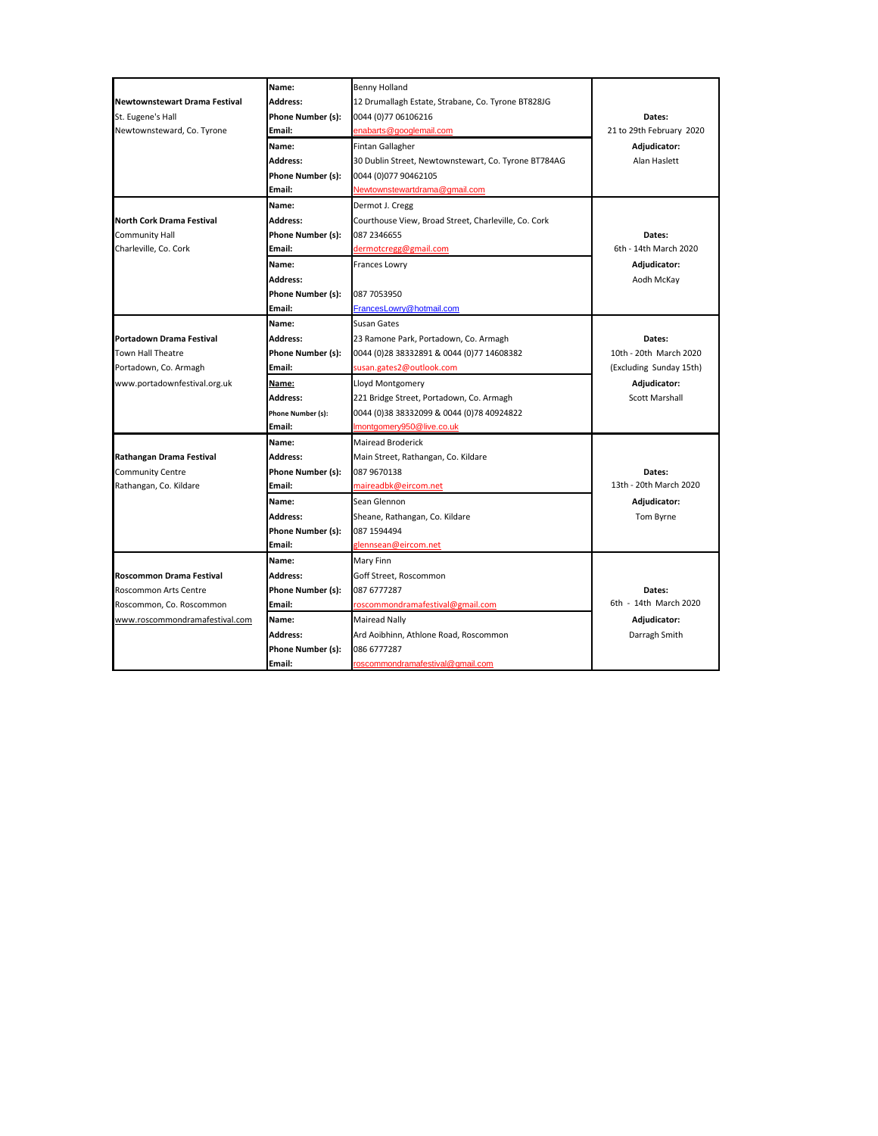|                                      | Name:             | <b>Benny Holland</b>                                 |                          |
|--------------------------------------|-------------------|------------------------------------------------------|--------------------------|
| <b>Newtownstewart Drama Festival</b> | <b>Address:</b>   | 12 Drumallagh Estate, Strabane, Co. Tyrone BT828JG   |                          |
| St. Eugene's Hall                    | Phone Number (s): | 0044 (0) 77 06106216                                 | Dates:                   |
| Newtownsteward, Co. Tyrone           | Email:            | enabarts@googlemail.com                              | 21 to 29th February 2020 |
|                                      | Name:             | Fintan Gallagher                                     | Adjudicator:             |
|                                      | Address:          | 30 Dublin Street, Newtownstewart, Co. Tyrone BT784AG | Alan Haslett             |
|                                      | Phone Number (s): | 0044 (0)077 90462105                                 |                          |
|                                      | Email:            | Newtownstewartdrama@gmail.com                        |                          |
|                                      | Name:             | Dermot J. Cregg                                      |                          |
| <b>North Cork Drama Festival</b>     | Address:          | Courthouse View, Broad Street, Charleville, Co. Cork |                          |
| <b>Community Hall</b>                | Phone Number (s): | 087 2346655                                          | Dates:                   |
| Charleville, Co. Cork                | Email:            | dermotcregg@gmail.com                                | 6th - 14th March 2020    |
|                                      | Name:             | Frances Lowry                                        | Adjudicator:             |
|                                      | <b>Address:</b>   |                                                      | Aodh McKay               |
|                                      | Phone Number (s): | 087 7053950                                          |                          |
|                                      | Email:            | FrancesLowry@hotmail.com                             |                          |
|                                      | Name:             | Susan Gates                                          |                          |
| Portadown Drama Festival             | <b>Address:</b>   | 23 Ramone Park, Portadown, Co. Armagh                | Dates:                   |
| Town Hall Theatre                    | Phone Number (s): | 0044 (0)28 38332891 & 0044 (0)77 14608382            | 10th - 20th March 2020   |
| Portadown, Co. Armagh                | Email:            | susan.gates2@outlook.com                             | (Excluding Sunday 15th)  |
| www.portadownfestival.org.uk         | Name:             | Lloyd Montgomery                                     | Adjudicator:             |
|                                      | Address:          | 221 Bridge Street, Portadown, Co. Armagh             | <b>Scott Marshall</b>    |
|                                      | Phone Number (s): | 0044 (0)38 38332099 & 0044 (0)78 40924822            |                          |
|                                      | Email:            | Imontgomery950@live.co.uk                            |                          |
|                                      | Name:             | <b>Mairead Broderick</b>                             |                          |
| Rathangan Drama Festival             | <b>Address:</b>   | Main Street, Rathangan, Co. Kildare                  |                          |
| <b>Community Centre</b>              | Phone Number (s): | 087 9670138                                          | Dates:                   |
| Rathangan, Co. Kildare               | Email:            | maireadbk@eircom.net                                 | 13th - 20th March 2020   |
|                                      | Name:             | Sean Glennon                                         | Adjudicator:             |
|                                      | Address:          | Sheane, Rathangan, Co. Kildare                       | Tom Byrne                |
|                                      | Phone Number (s): | 087 1594494                                          |                          |
|                                      | Email:            | glennsean@eircom.net                                 |                          |
|                                      | Name:             | Mary Finn                                            |                          |
| <b>Roscommon Drama Festival</b>      | <b>Address:</b>   | Goff Street, Roscommon                               |                          |
| Roscommon Arts Centre                | Phone Number (s): | 087 6777287                                          | Dates:                   |
| Roscommon, Co. Roscommon             | Email:            | roscommondramafestival@gmail.com                     | 6th - 14th March 2020    |
| www.roscommondramafestival.com       | Name:             | Mairead Nally                                        | Adjudicator:             |
|                                      | <b>Address:</b>   | Ard Aoibhinn, Athlone Road, Roscommon                | Darragh Smith            |
|                                      | Phone Number (s): | 086 6777287                                          |                          |
|                                      | Email:            | roscommondramafestival@gmail.com                     |                          |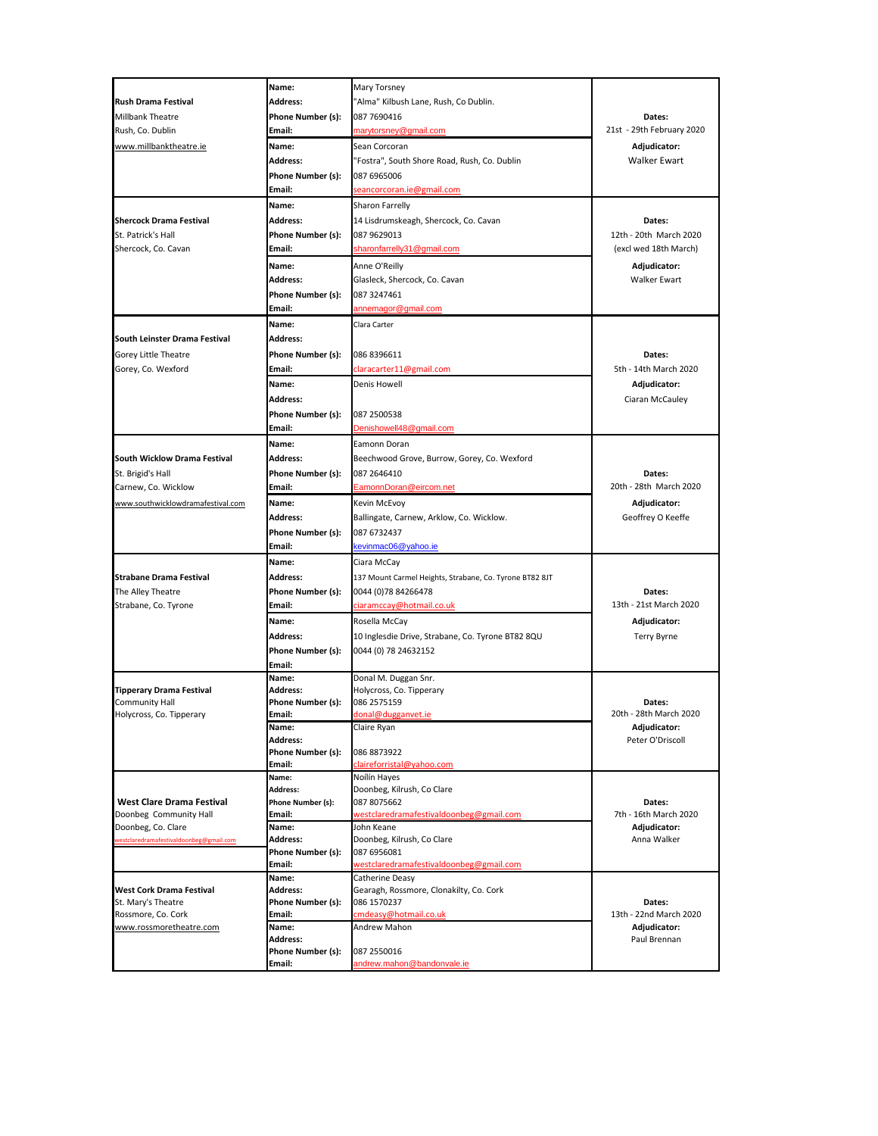|                                         | Name:                                | Mary Torsney                                            |                           |
|-----------------------------------------|--------------------------------------|---------------------------------------------------------|---------------------------|
| Rush Drama Festival                     | Address:                             | "Alma" Kilbush Lane, Rush, Co Dublin.                   |                           |
| <b>Millbank Theatre</b>                 | Phone Number (s):                    | 087 7690416                                             | Dates:                    |
| Rush, Co. Dublin                        | Email:                               | marytorsney@gmail.com                                   | 21st - 29th February 2020 |
| www.millbanktheatre.ie                  | Name:                                | Sean Corcoran                                           | Adjudicator:              |
|                                         | Address:                             | "Fostra", South Shore Road, Rush, Co. Dublin            | Walker Ewart              |
|                                         | Phone Number (s):                    | 087 6965006                                             |                           |
|                                         | Email:                               | <u>seancorcoran.ie@gmail.com</u>                        |                           |
|                                         |                                      |                                                         |                           |
|                                         | Name:                                | Sharon Farrelly                                         |                           |
| <b>Shercock Drama Festival</b>          | Address:                             | 14 Lisdrumskeagh, Shercock, Co. Cavan                   | Dates:                    |
| St. Patrick's Hall                      | Phone Number (s):                    | 087 9629013                                             | 12th - 20th March 2020    |
| Shercock, Co. Cavan                     | Email:                               | sharonfarrelly31@gmail.com                              | (excl wed 18th March)     |
|                                         | Name:                                | Anne O'Reilly                                           | Adjudicator:              |
|                                         | <b>Address:</b>                      | Glasleck, Shercock, Co. Cavan                           | <b>Walker Ewart</b>       |
|                                         | Phone Number (s):                    | 087 3247461                                             |                           |
|                                         | Email:                               | annemagor@gmail.com                                     |                           |
|                                         | Name:                                | Clara Carter                                            |                           |
| South Leinster Drama Festival           | Address:                             |                                                         |                           |
| Gorey Little Theatre                    | Phone Number (s):                    | 086 8396611                                             | Dates:                    |
| Gorey, Co. Wexford                      | Email:                               | claracarter11@gmail.com                                 | 5th - 14th March 2020     |
|                                         | Name:                                | Denis Howell                                            | Adjudicator:              |
|                                         | Address:                             |                                                         | Ciaran McCauley           |
|                                         |                                      |                                                         |                           |
|                                         | Phone Number (s):<br>Email:          | 087 2500538                                             |                           |
|                                         |                                      | Denishowell48@gmail.com                                 |                           |
|                                         | Name:                                | Eamonn Doran                                            |                           |
| South Wicklow Drama Festival            | Address:                             | Beechwood Grove, Burrow, Gorey, Co. Wexford             |                           |
| St. Brigid's Hall                       | Phone Number (s):                    | 087 2646410                                             | Dates:                    |
| Carnew, Co. Wicklow                     | Email:                               | EamonnDoran@eircom.net                                  | 20th - 28th March 2020    |
| www.southwicklowdramafestival.com       | Name:                                | Kevin McEvoy                                            | Adjudicator:              |
|                                         | Address:                             | Ballingate, Carnew, Arklow, Co. Wicklow.                | Geoffrey O Keeffe         |
|                                         | Phone Number (s):                    | 087 6732437                                             |                           |
|                                         | Email:                               | kevinmac06@yahoo.ie                                     |                           |
|                                         | Name:                                | Ciara McCay                                             |                           |
| <b>Strabane Drama Festival</b>          | Address:                             | 137 Mount Carmel Heights, Strabane, Co. Tyrone BT82 8JT |                           |
| The Alley Theatre                       | Phone Number (s):                    | 0044 (0)78 84266478                                     | Dates:                    |
| Strabane, Co. Tyrone                    | Email:                               | ciaramccay@hotmail.co.uk                                | 13th - 21st March 2020    |
|                                         | Name:                                | Rosella McCay                                           | Adjudicator:              |
|                                         | Address:                             | 10 Inglesdie Drive, Strabane, Co. Tyrone BT82 8QU       | Terry Byrne               |
|                                         | Phone Number (s):                    | 0044 (0) 78 24632152                                    |                           |
|                                         | Email:                               |                                                         |                           |
|                                         | Name:                                | Donal M. Duggan Snr.                                    |                           |
| <b>Tipperary Drama Festival</b>         | Address:                             | Holycross, Co. Tipperary                                |                           |
| <b>Community Hall</b>                   | Phone Number (s):                    | 086 2575159                                             | Dates:                    |
| Holycross, Co. Tipperary                | Email:                               | donal@dugganvet.ie                                      | 20th - 28th March 2020    |
|                                         | Name:                                | Claire Ryan                                             | Adjudicator:              |
|                                         | Address:                             |                                                         | Peter O'Driscoll          |
|                                         | Phone Number (s):<br>Email:          | 086 8873922                                             |                           |
|                                         | Name:                                | claireforristal@yahoo.com<br>Noílín Hayes               |                           |
|                                         | <b>Address:</b>                      | Doonbeg, Kilrush, Co Clare                              |                           |
| <b>West Clare Drama Festival</b>        | Phone Number (s):                    | 087 8075662                                             | Dates:                    |
| Doonbeg Community Hall                  | Email:                               | westclaredramafestivaldoonbeg@gmail.com                 | 7th - 16th March 2020     |
| Doonbeg, Co. Clare                      | Name:                                | John Keane                                              | Adjudicator:              |
| vestclaredramafestivaldoonbeg@gmail.com | Address:                             | Doonbeg, Kilrush, Co Clare                              | Anna Walker               |
|                                         | Phone Number (s):                    | 087 6956081                                             |                           |
|                                         | Email:                               | westclaredramafestivaldoonbeg@gmail.com                 |                           |
| <b>West Cork Drama Festival</b>         | Name:                                | Catherine Deasy                                         |                           |
| St. Mary's Theatre                      | <b>Address:</b><br>Phone Number (s): | Gearagh, Rossmore, Clonakilty, Co. Cork<br>086 1570237  | Dates:                    |
| Rossmore, Co. Cork                      | Email:                               | cmdeasy@hotmail.co.uk                                   | 13th - 22nd March 2020    |
| www.rossmoretheatre.com                 | Name:                                | Andrew Mahon                                            | Adjudicator:              |
|                                         | Address:                             |                                                         | Paul Brennan              |
|                                         | Phone Number (s):                    | 087 2550016                                             |                           |
|                                         | Email:                               | andrew.mahon@bandonvale.ie                              |                           |